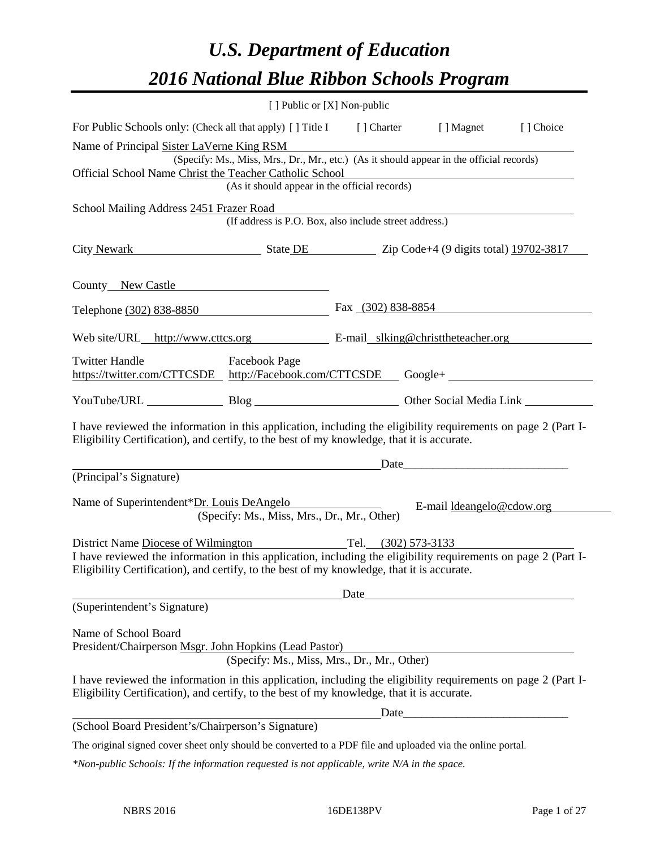# *U.S. Department of Education 2016 National Blue Ribbon Schools Program*

|                                                                                                                                                                                                              | [ ] Public or [X] Non-public                           |                      |                           |  |
|--------------------------------------------------------------------------------------------------------------------------------------------------------------------------------------------------------------|--------------------------------------------------------|----------------------|---------------------------|--|
| For Public Schools only: (Check all that apply) [ ] Title I [ ] Charter [ ] Magnet [ ] Choice                                                                                                                |                                                        |                      |                           |  |
| Name of Principal Sister LaVerne King RSM<br>(Specify: Ms., Miss, Mrs., Dr., Mr., etc.) (As it should appear in the official records)                                                                        |                                                        |                      |                           |  |
| Official School Name Christ the Teacher Catholic School                                                                                                                                                      |                                                        |                      |                           |  |
|                                                                                                                                                                                                              | (As it should appear in the official records)          |                      |                           |  |
| School Mailing Address 2451 Frazer Road                                                                                                                                                                      | (If address is P.O. Box, also include street address.) |                      |                           |  |
| City Newark State DE State DE Zip Code+4 (9 digits total) 19702-3817                                                                                                                                         |                                                        |                      |                           |  |
| County New Castle                                                                                                                                                                                            |                                                        |                      |                           |  |
| Telephone (302) 838-8850                                                                                                                                                                                     |                                                        | Fax $(302)$ 838-8854 |                           |  |
| Web site/URL_http://www.cttcs.org E-mail_slking@christtheteacher.org                                                                                                                                         |                                                        |                      |                           |  |
| <b>Twitter Handle</b><br>https://twitter.com/CTTCSDE http://Facebook.com/CTTCSDE Google+                                                                                                                     | <b>Facebook Page</b>                                   |                      |                           |  |
| YouTube/URL Blog Blog Other Social Media Link                                                                                                                                                                |                                                        |                      |                           |  |
| I have reviewed the information in this application, including the eligibility requirements on page 2 (Part I-<br>Eligibility Certification), and certify, to the best of my knowledge, that it is accurate. |                                                        |                      |                           |  |
| <u>Date</u> <u>Date</u> <i>Date Date Date Date Date Date Date Date Date Date Date Date Date Date Date Date Date Date Date Date Date Date Date Date Date Date Date Date Date Date</i>                         |                                                        |                      |                           |  |
| (Principal's Signature)                                                                                                                                                                                      |                                                        |                      |                           |  |
| Name of Superintendent*Dr. Louis DeAngelo                                                                                                                                                                    | (Specify: Ms., Miss, Mrs., Dr., Mr., Other)            |                      | E-mail ldeangelo@cdow.org |  |
| District Name Diocese of Wilmington Tel. (302) 573-3133                                                                                                                                                      |                                                        |                      |                           |  |
| I have reviewed the information in this application, including the eligibility requirements on page 2 (Part I-<br>Eligibility Certification), and certify, to the best of my knowledge, that it is accurate. |                                                        |                      |                           |  |
| Date                                                                                                                                                                                                         |                                                        |                      |                           |  |
| (Superintendent's Signature)                                                                                                                                                                                 |                                                        |                      |                           |  |
| Name of School Board<br>President/Chairperson Msgr. John Hopkins (Lead Pastor)                                                                                                                               | (Specify: Ms., Miss, Mrs., Dr., Mr., Other)            |                      |                           |  |
| I have reviewed the information in this application, including the eligibility requirements on page 2 (Part I-<br>Eligibility Certification), and certify, to the best of my knowledge, that it is accurate. |                                                        |                      |                           |  |
| Date                                                                                                                                                                                                         |                                                        |                      |                           |  |
| (School Board President's/Chairperson's Signature)                                                                                                                                                           |                                                        |                      |                           |  |
| The original signed cover sheet only should be converted to a PDF file and uploaded via the online portal.                                                                                                   |                                                        |                      |                           |  |
| *Non-public Schools: If the information requested is not applicable, write N/A in the space.                                                                                                                 |                                                        |                      |                           |  |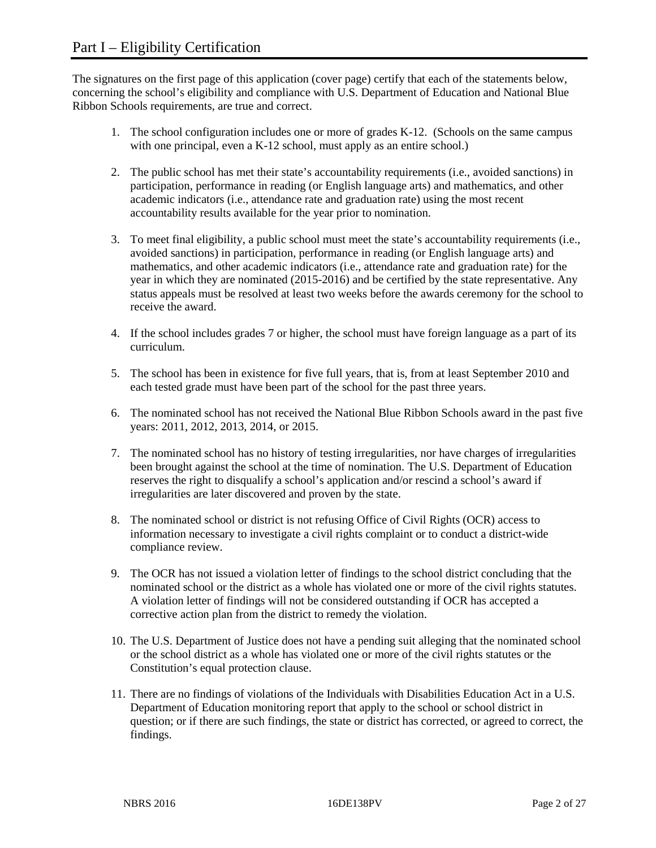The signatures on the first page of this application (cover page) certify that each of the statements below, concerning the school's eligibility and compliance with U.S. Department of Education and National Blue Ribbon Schools requirements, are true and correct.

- 1. The school configuration includes one or more of grades K-12. (Schools on the same campus with one principal, even a K-12 school, must apply as an entire school.)
- 2. The public school has met their state's accountability requirements (i.e., avoided sanctions) in participation, performance in reading (or English language arts) and mathematics, and other academic indicators (i.e., attendance rate and graduation rate) using the most recent accountability results available for the year prior to nomination.
- 3. To meet final eligibility, a public school must meet the state's accountability requirements (i.e., avoided sanctions) in participation, performance in reading (or English language arts) and mathematics, and other academic indicators (i.e., attendance rate and graduation rate) for the year in which they are nominated (2015-2016) and be certified by the state representative. Any status appeals must be resolved at least two weeks before the awards ceremony for the school to receive the award.
- 4. If the school includes grades 7 or higher, the school must have foreign language as a part of its curriculum.
- 5. The school has been in existence for five full years, that is, from at least September 2010 and each tested grade must have been part of the school for the past three years.
- 6. The nominated school has not received the National Blue Ribbon Schools award in the past five years: 2011, 2012, 2013, 2014, or 2015.
- 7. The nominated school has no history of testing irregularities, nor have charges of irregularities been brought against the school at the time of nomination. The U.S. Department of Education reserves the right to disqualify a school's application and/or rescind a school's award if irregularities are later discovered and proven by the state.
- 8. The nominated school or district is not refusing Office of Civil Rights (OCR) access to information necessary to investigate a civil rights complaint or to conduct a district-wide compliance review.
- 9. The OCR has not issued a violation letter of findings to the school district concluding that the nominated school or the district as a whole has violated one or more of the civil rights statutes. A violation letter of findings will not be considered outstanding if OCR has accepted a corrective action plan from the district to remedy the violation.
- 10. The U.S. Department of Justice does not have a pending suit alleging that the nominated school or the school district as a whole has violated one or more of the civil rights statutes or the Constitution's equal protection clause.
- 11. There are no findings of violations of the Individuals with Disabilities Education Act in a U.S. Department of Education monitoring report that apply to the school or school district in question; or if there are such findings, the state or district has corrected, or agreed to correct, the findings.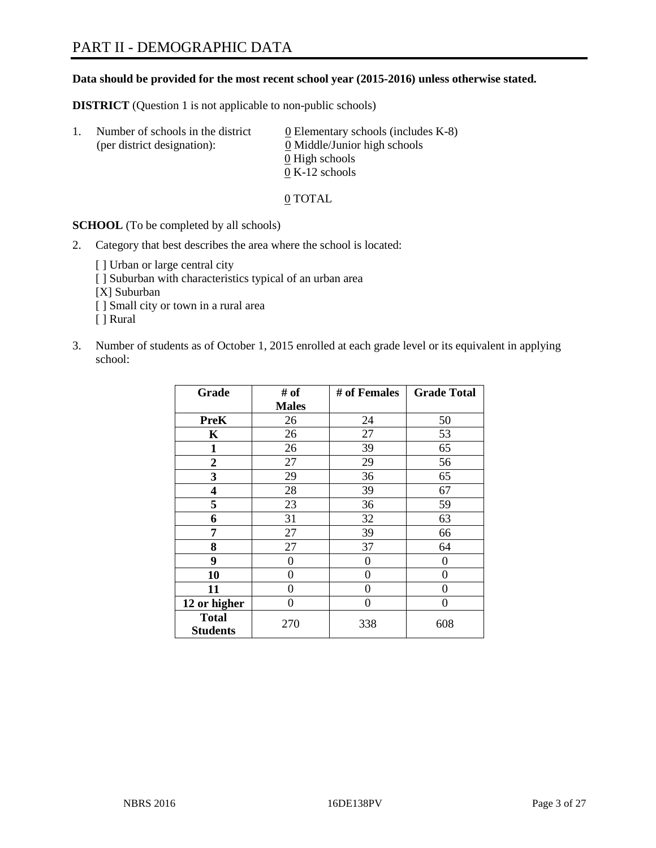#### **Data should be provided for the most recent school year (2015-2016) unless otherwise stated.**

**DISTRICT** (Question 1 is not applicable to non-public schools)

| Ι. | Number of schools in the district<br>(per district designation): | $\underline{0}$ Elementary schools (includes K-8)<br>0 Middle/Junior high schools |
|----|------------------------------------------------------------------|-----------------------------------------------------------------------------------|
|    |                                                                  | 0 High schools                                                                    |
|    |                                                                  | $0 K-12$ schools                                                                  |

0 TOTAL

**SCHOOL** (To be completed by all schools)

- 2. Category that best describes the area where the school is located:
	- [] Urban or large central city [ ] Suburban with characteristics typical of an urban area [X] Suburban [ ] Small city or town in a rural area [ ] Rural
- 3. Number of students as of October 1, 2015 enrolled at each grade level or its equivalent in applying school:

| Grade                           | # of         | # of Females | <b>Grade Total</b> |
|---------------------------------|--------------|--------------|--------------------|
|                                 | <b>Males</b> |              |                    |
| <b>PreK</b>                     | 26           | 24           | 50                 |
| K                               | 26           | 27           | 53                 |
| 1                               | 26           | 39           | 65                 |
| $\overline{2}$                  | 27           | 29           | 56                 |
| 3                               | 29           | 36           | 65                 |
| 4                               | 28           | 39           | 67                 |
| 5                               | 23           | 36           | 59                 |
| 6                               | 31           | 32           | 63                 |
| 7                               | 27           | 39           | 66                 |
| 8                               | 27           | 37           | 64                 |
| 9                               | 0            | $\theta$     | 0                  |
| 10                              | 0            | 0            | 0                  |
| 11                              | $\theta$     | 0            | $\theta$           |
| 12 or higher                    | $\theta$     | 0            | 0                  |
| <b>Total</b><br><b>Students</b> | 270          | 338          | 608                |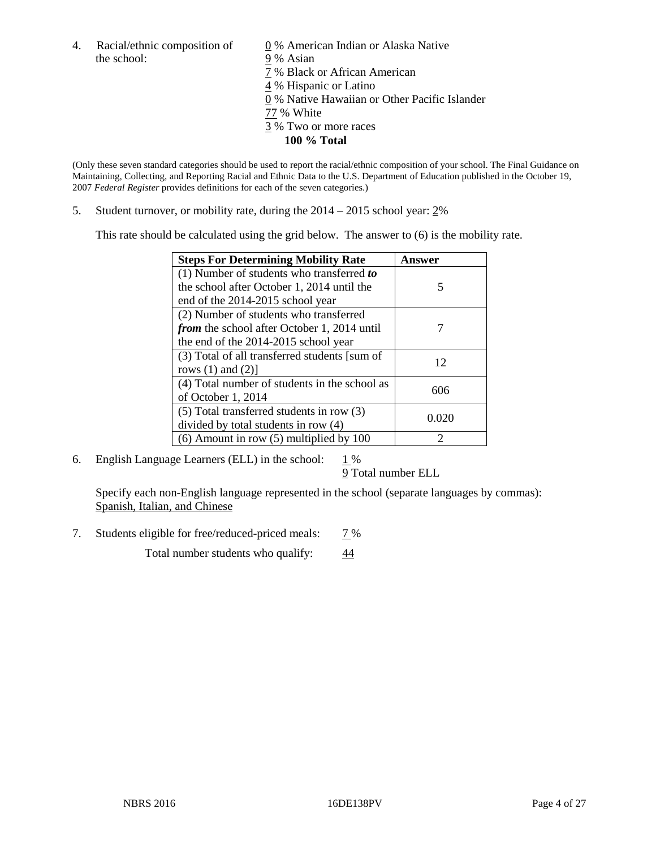4. Racial/ethnic composition of  $\qquad 0\%$  American Indian or Alaska Native the school: 9 % Asian

 % Black or African American % Hispanic or Latino % Native Hawaiian or Other Pacific Islander 77 % White % Two or more races **100 % Total**

(Only these seven standard categories should be used to report the racial/ethnic composition of your school. The Final Guidance on Maintaining, Collecting, and Reporting Racial and Ethnic Data to the U.S. Department of Education published in the October 19, 2007 *Federal Register* provides definitions for each of the seven categories.)

5. Student turnover, or mobility rate, during the 2014 – 2015 school year: 2%

This rate should be calculated using the grid below. The answer to (6) is the mobility rate.

| <b>Steps For Determining Mobility Rate</b>         | <b>Answer</b> |
|----------------------------------------------------|---------------|
| (1) Number of students who transferred to          |               |
| the school after October 1, 2014 until the         | 5             |
| end of the 2014-2015 school year                   |               |
| (2) Number of students who transferred             |               |
| <i>from</i> the school after October 1, 2014 until |               |
| the end of the 2014-2015 school year               |               |
| (3) Total of all transferred students [sum of      | 12            |
| rows $(1)$ and $(2)$ ]                             |               |
| (4) Total number of students in the school as      | 606           |
| of October 1, 2014                                 |               |
| $(5)$ Total transferred students in row $(3)$      |               |
| divided by total students in row (4)               | 0.020         |
| $(6)$ Amount in row $(5)$ multiplied by 100        | ာ             |

6. English Language Learners (ELL) in the school:  $1\%$ 

9 Total number ELL

Specify each non-English language represented in the school (separate languages by commas): Spanish, Italian, and Chinese

7. Students eligible for free/reduced-priced meals: 7%

Total number students who qualify:  $\frac{44}{1}$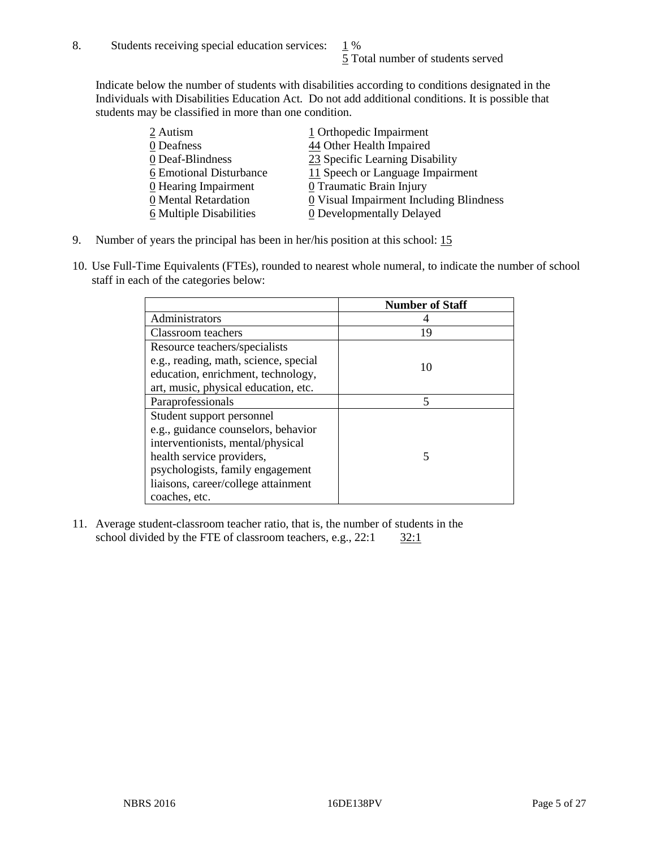Indicate below the number of students with disabilities according to conditions designated in the Individuals with Disabilities Education Act. Do not add additional conditions. It is possible that students may be classified in more than one condition.

| 2 Autism                | 1 Orthopedic Impairment                 |
|-------------------------|-----------------------------------------|
| 0 Deafness              | 44 Other Health Impaired                |
| 0 Deaf-Blindness        | 23 Specific Learning Disability         |
| 6 Emotional Disturbance | 11 Speech or Language Impairment        |
| 0 Hearing Impairment    | 0 Traumatic Brain Injury                |
| 0 Mental Retardation    | 0 Visual Impairment Including Blindness |
| 6 Multiple Disabilities | <b>0</b> Developmentally Delayed        |

- 9. Number of years the principal has been in her/his position at this school: 15
- 10. Use Full-Time Equivalents (FTEs), rounded to nearest whole numeral, to indicate the number of school staff in each of the categories below:

|                                       | <b>Number of Staff</b> |
|---------------------------------------|------------------------|
| Administrators                        |                        |
| Classroom teachers                    | 19                     |
| Resource teachers/specialists         |                        |
| e.g., reading, math, science, special | 10                     |
| education, enrichment, technology,    |                        |
| art, music, physical education, etc.  |                        |
| Paraprofessionals                     | 5                      |
| Student support personnel             |                        |
| e.g., guidance counselors, behavior   |                        |
| interventionists, mental/physical     |                        |
| health service providers,             | 5                      |
| psychologists, family engagement      |                        |
| liaisons, career/college attainment   |                        |
| coaches, etc.                         |                        |

11. Average student-classroom teacher ratio, that is, the number of students in the school divided by the FTE of classroom teachers, e.g.,  $22:1$   $32:1$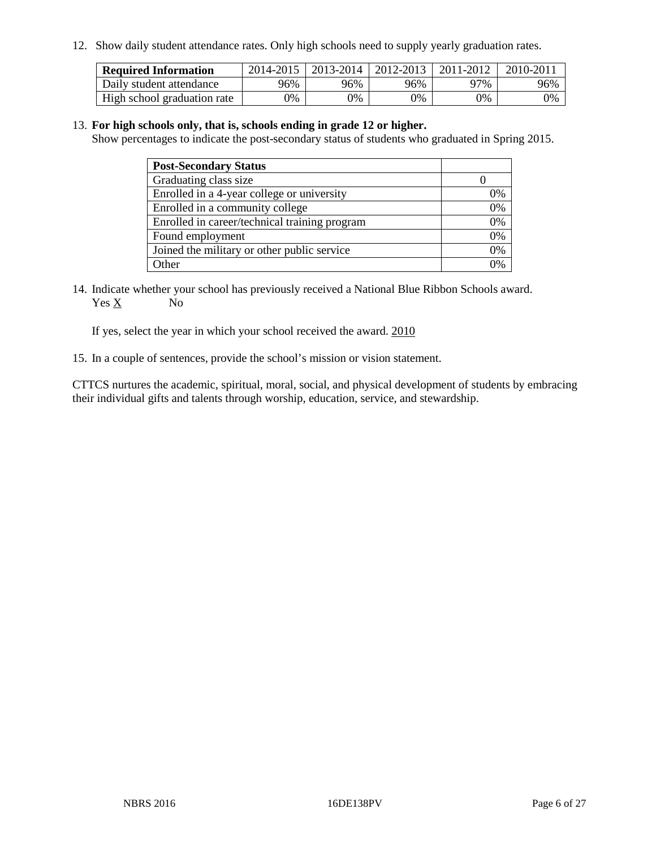12. Show daily student attendance rates. Only high schools need to supply yearly graduation rates.

| <b>Required Information</b> |     | 2014-2015   2013-2014   2012-2013 |       | 2011-2012 | 2010-2011 |
|-----------------------------|-----|-----------------------------------|-------|-----------|-----------|
| Daily student attendance    | 96% | 96%                               | 96%   | 77%       | 96%       |
| High school graduation rate | 0%  | 0%                                | $0\%$ | 9%        | 0%        |

#### 13. **For high schools only, that is, schools ending in grade 12 or higher.**

Show percentages to indicate the post-secondary status of students who graduated in Spring 2015.

| <b>Post-Secondary Status</b>                  |    |
|-----------------------------------------------|----|
| Graduating class size                         |    |
| Enrolled in a 4-year college or university    | 0% |
| Enrolled in a community college               | 0% |
| Enrolled in career/technical training program | 0% |
| Found employment                              | 0% |
| Joined the military or other public service   | 0% |
| Other                                         |    |

14. Indicate whether your school has previously received a National Blue Ribbon Schools award. Yes X No

If yes, select the year in which your school received the award. 2010

15. In a couple of sentences, provide the school's mission or vision statement.

CTTCS nurtures the academic, spiritual, moral, social, and physical development of students by embracing their individual gifts and talents through worship, education, service, and stewardship.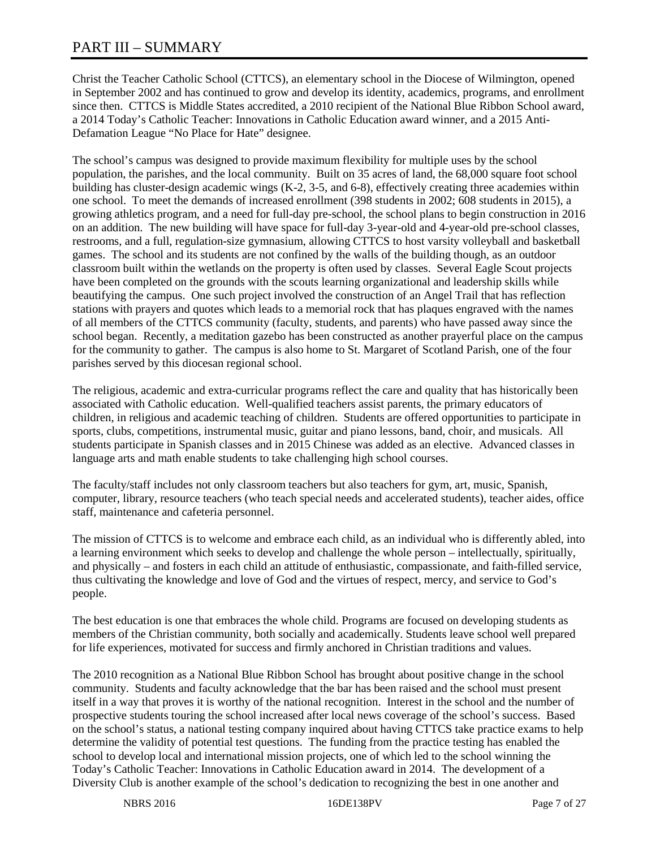# PART III – SUMMARY

Christ the Teacher Catholic School (CTTCS), an elementary school in the Diocese of Wilmington, opened in September 2002 and has continued to grow and develop its identity, academics, programs, and enrollment since then. CTTCS is Middle States accredited, a 2010 recipient of the National Blue Ribbon School award, a 2014 Today's Catholic Teacher: Innovations in Catholic Education award winner, and a 2015 Anti-Defamation League "No Place for Hate" designee.

The school's campus was designed to provide maximum flexibility for multiple uses by the school population, the parishes, and the local community. Built on 35 acres of land, the 68,000 square foot school building has cluster-design academic wings (K-2, 3-5, and 6-8), effectively creating three academies within one school. To meet the demands of increased enrollment (398 students in 2002; 608 students in 2015), a growing athletics program, and a need for full-day pre-school, the school plans to begin construction in 2016 on an addition. The new building will have space for full-day 3-year-old and 4-year-old pre-school classes, restrooms, and a full, regulation-size gymnasium, allowing CTTCS to host varsity volleyball and basketball games. The school and its students are not confined by the walls of the building though, as an outdoor classroom built within the wetlands on the property is often used by classes. Several Eagle Scout projects have been completed on the grounds with the scouts learning organizational and leadership skills while beautifying the campus. One such project involved the construction of an Angel Trail that has reflection stations with prayers and quotes which leads to a memorial rock that has plaques engraved with the names of all members of the CTTCS community (faculty, students, and parents) who have passed away since the school began. Recently, a meditation gazebo has been constructed as another prayerful place on the campus for the community to gather. The campus is also home to St. Margaret of Scotland Parish, one of the four parishes served by this diocesan regional school.

The religious, academic and extra-curricular programs reflect the care and quality that has historically been associated with Catholic education. Well-qualified teachers assist parents, the primary educators of children, in religious and academic teaching of children. Students are offered opportunities to participate in sports, clubs, competitions, instrumental music, guitar and piano lessons, band, choir, and musicals. All students participate in Spanish classes and in 2015 Chinese was added as an elective. Advanced classes in language arts and math enable students to take challenging high school courses.

The faculty/staff includes not only classroom teachers but also teachers for gym, art, music, Spanish, computer, library, resource teachers (who teach special needs and accelerated students), teacher aides, office staff, maintenance and cafeteria personnel.

The mission of CTTCS is to welcome and embrace each child, as an individual who is differently abled, into a learning environment which seeks to develop and challenge the whole person – intellectually, spiritually, and physically – and fosters in each child an attitude of enthusiastic, compassionate, and faith-filled service, thus cultivating the knowledge and love of God and the virtues of respect, mercy, and service to God's people.

The best education is one that embraces the whole child. Programs are focused on developing students as members of the Christian community, both socially and academically. Students leave school well prepared for life experiences, motivated for success and firmly anchored in Christian traditions and values.

The 2010 recognition as a National Blue Ribbon School has brought about positive change in the school community. Students and faculty acknowledge that the bar has been raised and the school must present itself in a way that proves it is worthy of the national recognition. Interest in the school and the number of prospective students touring the school increased after local news coverage of the school's success. Based on the school's status, a national testing company inquired about having CTTCS take practice exams to help determine the validity of potential test questions. The funding from the practice testing has enabled the school to develop local and international mission projects, one of which led to the school winning the Today's Catholic Teacher: Innovations in Catholic Education award in 2014. The development of a Diversity Club is another example of the school's dedication to recognizing the best in one another and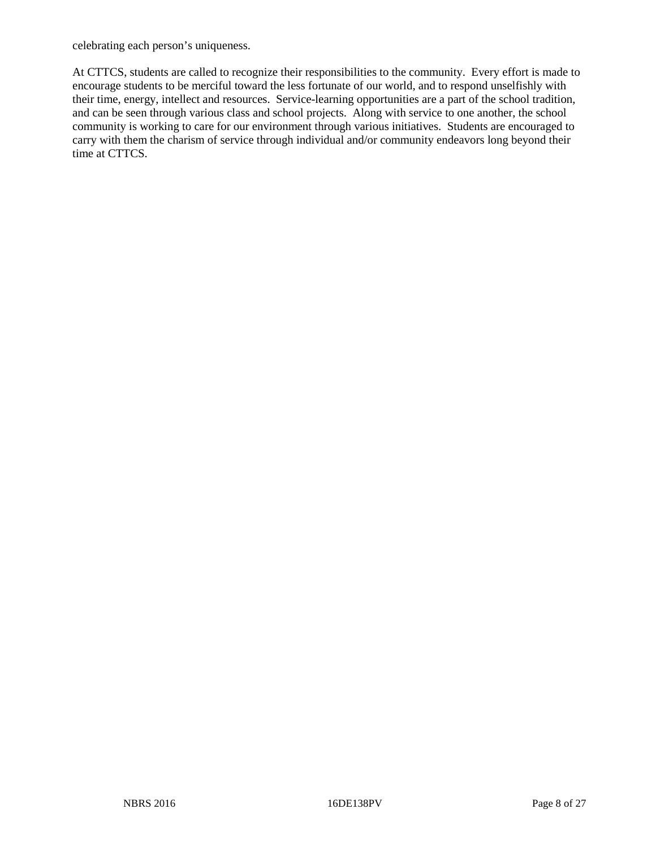celebrating each person's uniqueness.

At CTTCS, students are called to recognize their responsibilities to the community. Every effort is made to encourage students to be merciful toward the less fortunate of our world, and to respond unselfishly with their time, energy, intellect and resources. Service-learning opportunities are a part of the school tradition, and can be seen through various class and school projects. Along with service to one another, the school community is working to care for our environment through various initiatives. Students are encouraged to carry with them the charism of service through individual and/or community endeavors long beyond their time at CTTCS.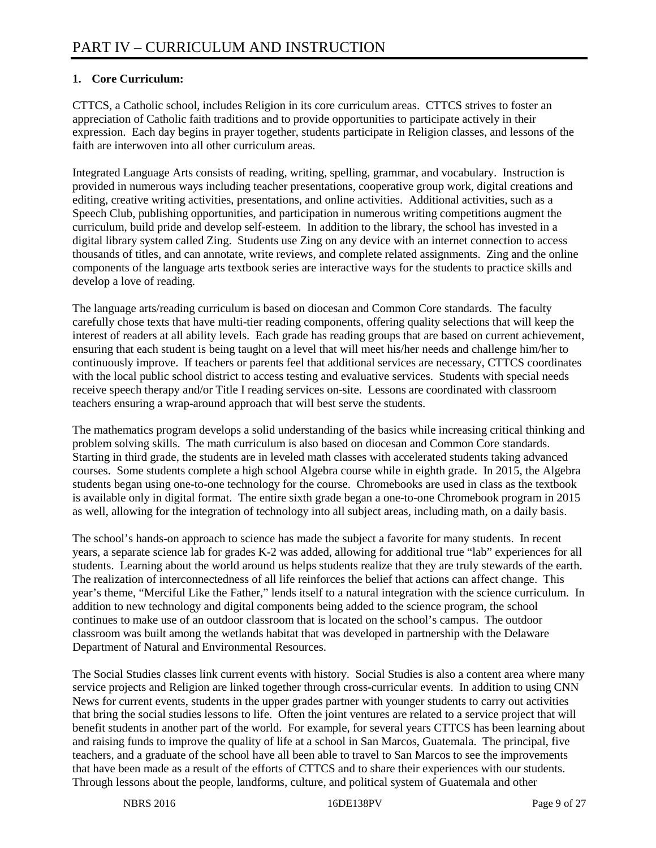## **1. Core Curriculum:**

CTTCS, a Catholic school, includes Religion in its core curriculum areas. CTTCS strives to foster an appreciation of Catholic faith traditions and to provide opportunities to participate actively in their expression. Each day begins in prayer together, students participate in Religion classes, and lessons of the faith are interwoven into all other curriculum areas.

Integrated Language Arts consists of reading, writing, spelling, grammar, and vocabulary. Instruction is provided in numerous ways including teacher presentations, cooperative group work, digital creations and editing, creative writing activities, presentations, and online activities. Additional activities, such as a Speech Club, publishing opportunities, and participation in numerous writing competitions augment the curriculum, build pride and develop self-esteem. In addition to the library, the school has invested in a digital library system called Zing. Students use Zing on any device with an internet connection to access thousands of titles, and can annotate, write reviews, and complete related assignments. Zing and the online components of the language arts textbook series are interactive ways for the students to practice skills and develop a love of reading.

The language arts/reading curriculum is based on diocesan and Common Core standards. The faculty carefully chose texts that have multi-tier reading components, offering quality selections that will keep the interest of readers at all ability levels. Each grade has reading groups that are based on current achievement, ensuring that each student is being taught on a level that will meet his/her needs and challenge him/her to continuously improve. If teachers or parents feel that additional services are necessary, CTTCS coordinates with the local public school district to access testing and evaluative services. Students with special needs receive speech therapy and/or Title I reading services on-site. Lessons are coordinated with classroom teachers ensuring a wrap-around approach that will best serve the students.

The mathematics program develops a solid understanding of the basics while increasing critical thinking and problem solving skills. The math curriculum is also based on diocesan and Common Core standards. Starting in third grade, the students are in leveled math classes with accelerated students taking advanced courses. Some students complete a high school Algebra course while in eighth grade. In 2015, the Algebra students began using one-to-one technology for the course. Chromebooks are used in class as the textbook is available only in digital format. The entire sixth grade began a one-to-one Chromebook program in 2015 as well, allowing for the integration of technology into all subject areas, including math, on a daily basis.

The school's hands-on approach to science has made the subject a favorite for many students. In recent years, a separate science lab for grades K-2 was added, allowing for additional true "lab" experiences for all students. Learning about the world around us helps students realize that they are truly stewards of the earth. The realization of interconnectedness of all life reinforces the belief that actions can affect change. This year's theme, "Merciful Like the Father," lends itself to a natural integration with the science curriculum. In addition to new technology and digital components being added to the science program, the school continues to make use of an outdoor classroom that is located on the school's campus. The outdoor classroom was built among the wetlands habitat that was developed in partnership with the Delaware Department of Natural and Environmental Resources.

The Social Studies classes link current events with history. Social Studies is also a content area where many service projects and Religion are linked together through cross-curricular events. In addition to using CNN News for current events, students in the upper grades partner with younger students to carry out activities that bring the social studies lessons to life. Often the joint ventures are related to a service project that will benefit students in another part of the world. For example, for several years CTTCS has been learning about and raising funds to improve the quality of life at a school in San Marcos, Guatemala. The principal, five teachers, and a graduate of the school have all been able to travel to San Marcos to see the improvements that have been made as a result of the efforts of CTTCS and to share their experiences with our students. Through lessons about the people, landforms, culture, and political system of Guatemala and other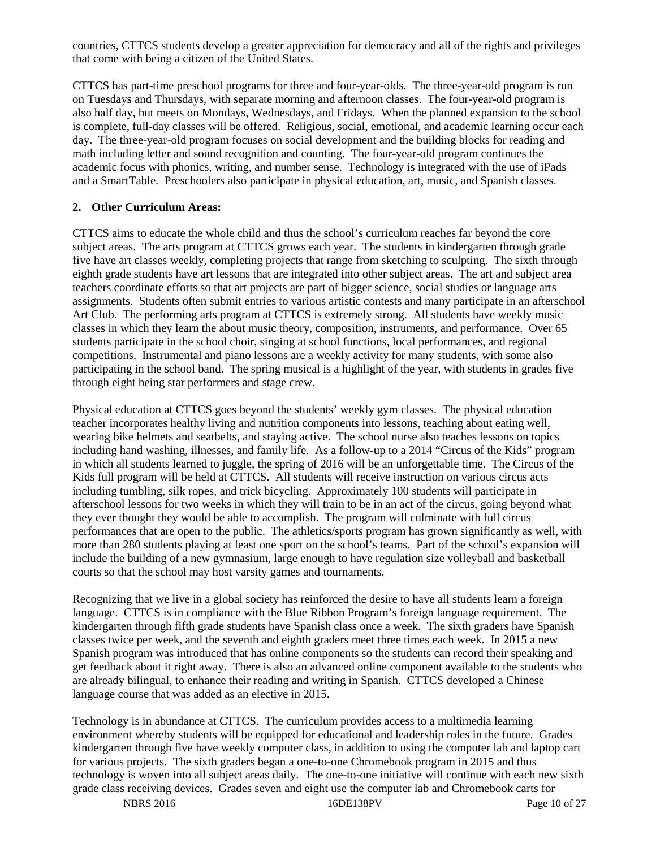countries, CTTCS students develop a greater appreciation for democracy and all of the rights and privileges that come with being a citizen of the United States.

CTTCS has part-time preschool programs for three and four-year-olds. The three-year-old program is run on Tuesdays and Thursdays, with separate morning and afternoon classes. The four-year-old program is also half day, but meets on Mondays, Wednesdays, and Fridays. When the planned expansion to the school is complete, full-day classes will be offered. Religious, social, emotional, and academic learning occur each day. The three-year-old program focuses on social development and the building blocks for reading and math including letter and sound recognition and counting. The four-year-old program continues the academic focus with phonics, writing, and number sense. Technology is integrated with the use of iPads and a SmartTable. Preschoolers also participate in physical education, art, music, and Spanish classes.

### **2. Other Curriculum Areas:**

CTTCS aims to educate the whole child and thus the school's curriculum reaches far beyond the core subject areas. The arts program at CTTCS grows each year. The students in kindergarten through grade five have art classes weekly, completing projects that range from sketching to sculpting. The sixth through eighth grade students have art lessons that are integrated into other subject areas. The art and subject area teachers coordinate efforts so that art projects are part of bigger science, social studies or language arts assignments. Students often submit entries to various artistic contests and many participate in an afterschool Art Club. The performing arts program at CTTCS is extremely strong. All students have weekly music classes in which they learn the about music theory, composition, instruments, and performance. Over 65 students participate in the school choir, singing at school functions, local performances, and regional competitions. Instrumental and piano lessons are a weekly activity for many students, with some also participating in the school band. The spring musical is a highlight of the year, with students in grades five through eight being star performers and stage crew.

Physical education at CTTCS goes beyond the students' weekly gym classes. The physical education teacher incorporates healthy living and nutrition components into lessons, teaching about eating well, wearing bike helmets and seatbelts, and staying active. The school nurse also teaches lessons on topics including hand washing, illnesses, and family life. As a follow-up to a 2014 "Circus of the Kids" program in which all students learned to juggle, the spring of 2016 will be an unforgettable time. The Circus of the Kids full program will be held at CTTCS. All students will receive instruction on various circus acts including tumbling, silk ropes, and trick bicycling. Approximately 100 students will participate in afterschool lessons for two weeks in which they will train to be in an act of the circus, going beyond what they ever thought they would be able to accomplish. The program will culminate with full circus performances that are open to the public. The athletics/sports program has grown significantly as well, with more than 280 students playing at least one sport on the school's teams. Part of the school's expansion will include the building of a new gymnasium, large enough to have regulation size volleyball and basketball courts so that the school may host varsity games and tournaments.

Recognizing that we live in a global society has reinforced the desire to have all students learn a foreign language. CTTCS is in compliance with the Blue Ribbon Program's foreign language requirement. The kindergarten through fifth grade students have Spanish class once a week. The sixth graders have Spanish classes twice per week, and the seventh and eighth graders meet three times each week. In 2015 a new Spanish program was introduced that has online components so the students can record their speaking and get feedback about it right away. There is also an advanced online component available to the students who are already bilingual, to enhance their reading and writing in Spanish. CTTCS developed a Chinese language course that was added as an elective in 2015.

Technology is in abundance at CTTCS. The curriculum provides access to a multimedia learning environment whereby students will be equipped for educational and leadership roles in the future. Grades kindergarten through five have weekly computer class, in addition to using the computer lab and laptop cart for various projects. The sixth graders began a one-to-one Chromebook program in 2015 and thus technology is woven into all subject areas daily. The one-to-one initiative will continue with each new sixth grade class receiving devices. Grades seven and eight use the computer lab and Chromebook carts for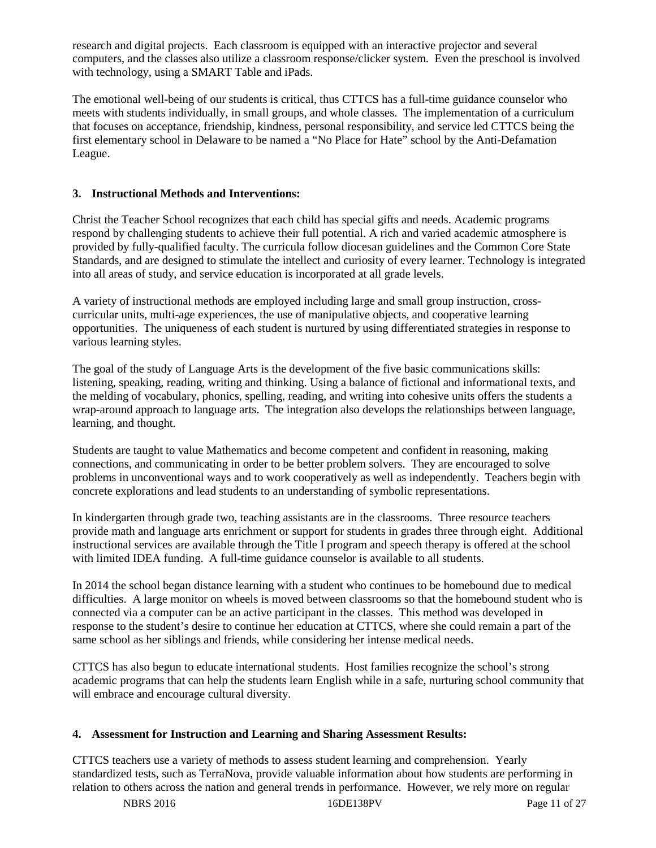research and digital projects. Each classroom is equipped with an interactive projector and several computers, and the classes also utilize a classroom response/clicker system. Even the preschool is involved with technology, using a SMART Table and iPads.

The emotional well-being of our students is critical, thus CTTCS has a full-time guidance counselor who meets with students individually, in small groups, and whole classes. The implementation of a curriculum that focuses on acceptance, friendship, kindness, personal responsibility, and service led CTTCS being the first elementary school in Delaware to be named a "No Place for Hate" school by the Anti-Defamation League.

### **3. Instructional Methods and Interventions:**

Christ the Teacher School recognizes that each child has special gifts and needs. Academic programs respond by challenging students to achieve their full potential. A rich and varied academic atmosphere is provided by fully-qualified faculty. The curricula follow diocesan guidelines and the Common Core State Standards, and are designed to stimulate the intellect and curiosity of every learner. Technology is integrated into all areas of study, and service education is incorporated at all grade levels.

A variety of instructional methods are employed including large and small group instruction, crosscurricular units, multi-age experiences, the use of manipulative objects, and cooperative learning opportunities. The uniqueness of each student is nurtured by using differentiated strategies in response to various learning styles.

The goal of the study of Language Arts is the development of the five basic communications skills: listening, speaking, reading, writing and thinking. Using a balance of fictional and informational texts, and the melding of vocabulary, phonics, spelling, reading, and writing into cohesive units offers the students a wrap-around approach to language arts. The integration also develops the relationships between language, learning, and thought.

Students are taught to value Mathematics and become competent and confident in reasoning, making connections, and communicating in order to be better problem solvers. They are encouraged to solve problems in unconventional ways and to work cooperatively as well as independently. Teachers begin with concrete explorations and lead students to an understanding of symbolic representations.

In kindergarten through grade two, teaching assistants are in the classrooms. Three resource teachers provide math and language arts enrichment or support for students in grades three through eight. Additional instructional services are available through the Title I program and speech therapy is offered at the school with limited IDEA funding. A full-time guidance counselor is available to all students.

In 2014 the school began distance learning with a student who continues to be homebound due to medical difficulties. A large monitor on wheels is moved between classrooms so that the homebound student who is connected via a computer can be an active participant in the classes. This method was developed in response to the student's desire to continue her education at CTTCS, where she could remain a part of the same school as her siblings and friends, while considering her intense medical needs.

CTTCS has also begun to educate international students. Host families recognize the school's strong academic programs that can help the students learn English while in a safe, nurturing school community that will embrace and encourage cultural diversity.

#### **4. Assessment for Instruction and Learning and Sharing Assessment Results:**

CTTCS teachers use a variety of methods to assess student learning and comprehension. Yearly standardized tests, such as TerraNova, provide valuable information about how students are performing in relation to others across the nation and general trends in performance. However, we rely more on regular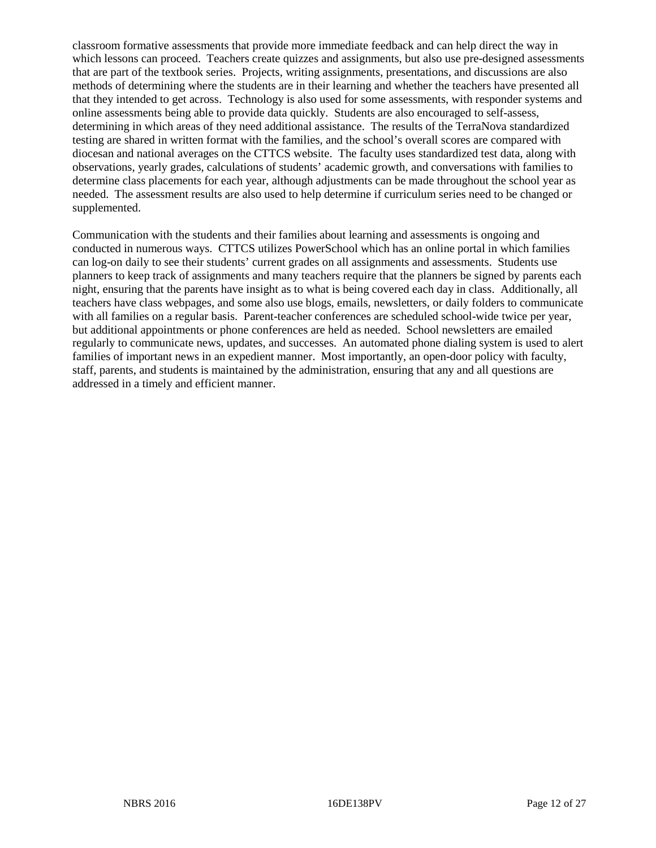classroom formative assessments that provide more immediate feedback and can help direct the way in which lessons can proceed. Teachers create quizzes and assignments, but also use pre-designed assessments that are part of the textbook series. Projects, writing assignments, presentations, and discussions are also methods of determining where the students are in their learning and whether the teachers have presented all that they intended to get across. Technology is also used for some assessments, with responder systems and online assessments being able to provide data quickly. Students are also encouraged to self-assess, determining in which areas of they need additional assistance. The results of the TerraNova standardized testing are shared in written format with the families, and the school's overall scores are compared with diocesan and national averages on the CTTCS website. The faculty uses standardized test data, along with observations, yearly grades, calculations of students' academic growth, and conversations with families to determine class placements for each year, although adjustments can be made throughout the school year as needed. The assessment results are also used to help determine if curriculum series need to be changed or supplemented.

Communication with the students and their families about learning and assessments is ongoing and conducted in numerous ways. CTTCS utilizes PowerSchool which has an online portal in which families can log-on daily to see their students' current grades on all assignments and assessments. Students use planners to keep track of assignments and many teachers require that the planners be signed by parents each night, ensuring that the parents have insight as to what is being covered each day in class. Additionally, all teachers have class webpages, and some also use blogs, emails, newsletters, or daily folders to communicate with all families on a regular basis. Parent-teacher conferences are scheduled school-wide twice per year, but additional appointments or phone conferences are held as needed. School newsletters are emailed regularly to communicate news, updates, and successes. An automated phone dialing system is used to alert families of important news in an expedient manner. Most importantly, an open-door policy with faculty, staff, parents, and students is maintained by the administration, ensuring that any and all questions are addressed in a timely and efficient manner.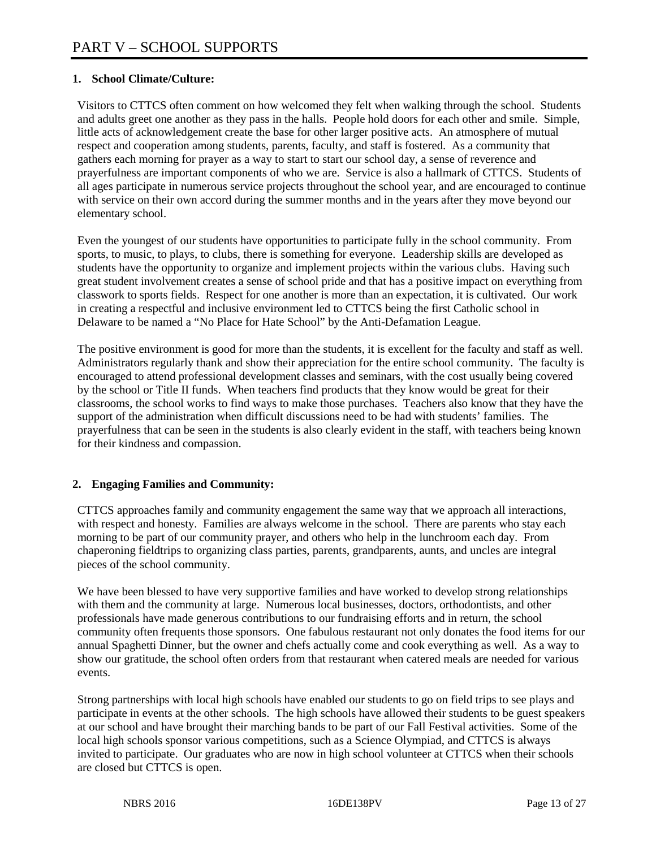## **1. School Climate/Culture:**

Visitors to CTTCS often comment on how welcomed they felt when walking through the school. Students and adults greet one another as they pass in the halls. People hold doors for each other and smile. Simple, little acts of acknowledgement create the base for other larger positive acts. An atmosphere of mutual respect and cooperation among students, parents, faculty, and staff is fostered. As a community that gathers each morning for prayer as a way to start to start our school day, a sense of reverence and prayerfulness are important components of who we are. Service is also a hallmark of CTTCS. Students of all ages participate in numerous service projects throughout the school year, and are encouraged to continue with service on their own accord during the summer months and in the years after they move beyond our elementary school.

Even the youngest of our students have opportunities to participate fully in the school community. From sports, to music, to plays, to clubs, there is something for everyone. Leadership skills are developed as students have the opportunity to organize and implement projects within the various clubs. Having such great student involvement creates a sense of school pride and that has a positive impact on everything from classwork to sports fields. Respect for one another is more than an expectation, it is cultivated. Our work in creating a respectful and inclusive environment led to CTTCS being the first Catholic school in Delaware to be named a "No Place for Hate School" by the Anti-Defamation League.

The positive environment is good for more than the students, it is excellent for the faculty and staff as well. Administrators regularly thank and show their appreciation for the entire school community. The faculty is encouraged to attend professional development classes and seminars, with the cost usually being covered by the school or Title II funds. When teachers find products that they know would be great for their classrooms, the school works to find ways to make those purchases. Teachers also know that they have the support of the administration when difficult discussions need to be had with students' families. The prayerfulness that can be seen in the students is also clearly evident in the staff, with teachers being known for their kindness and compassion.

## **2. Engaging Families and Community:**

CTTCS approaches family and community engagement the same way that we approach all interactions, with respect and honesty. Families are always welcome in the school. There are parents who stay each morning to be part of our community prayer, and others who help in the lunchroom each day. From chaperoning fieldtrips to organizing class parties, parents, grandparents, aunts, and uncles are integral pieces of the school community.

We have been blessed to have very supportive families and have worked to develop strong relationships with them and the community at large. Numerous local businesses, doctors, orthodontists, and other professionals have made generous contributions to our fundraising efforts and in return, the school community often frequents those sponsors. One fabulous restaurant not only donates the food items for our annual Spaghetti Dinner, but the owner and chefs actually come and cook everything as well. As a way to show our gratitude, the school often orders from that restaurant when catered meals are needed for various events.

Strong partnerships with local high schools have enabled our students to go on field trips to see plays and participate in events at the other schools. The high schools have allowed their students to be guest speakers at our school and have brought their marching bands to be part of our Fall Festival activities. Some of the local high schools sponsor various competitions, such as a Science Olympiad, and CTTCS is always invited to participate. Our graduates who are now in high school volunteer at CTTCS when their schools are closed but CTTCS is open.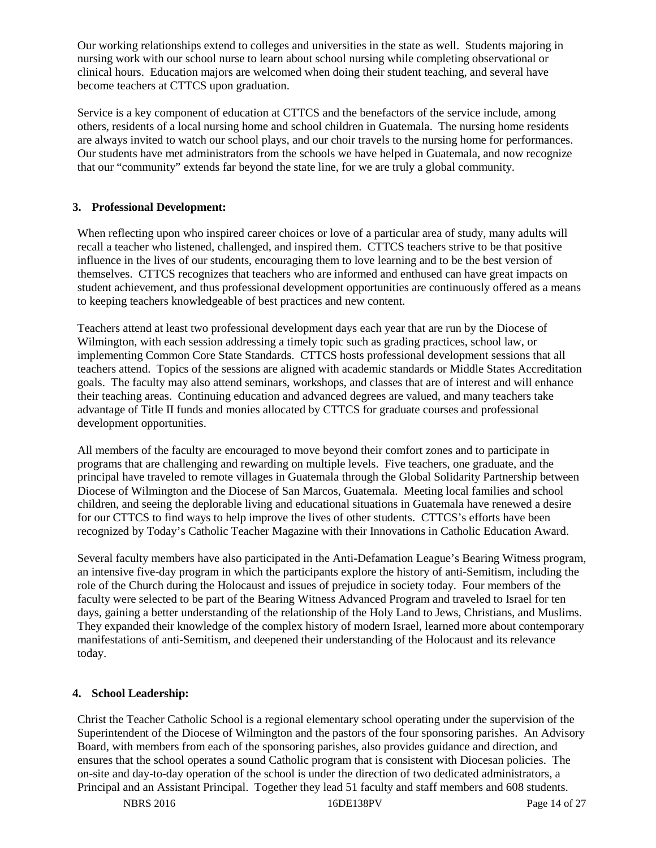Our working relationships extend to colleges and universities in the state as well. Students majoring in nursing work with our school nurse to learn about school nursing while completing observational or clinical hours. Education majors are welcomed when doing their student teaching, and several have become teachers at CTTCS upon graduation.

Service is a key component of education at CTTCS and the benefactors of the service include, among others, residents of a local nursing home and school children in Guatemala. The nursing home residents are always invited to watch our school plays, and our choir travels to the nursing home for performances. Our students have met administrators from the schools we have helped in Guatemala, and now recognize that our "community" extends far beyond the state line, for we are truly a global community.

### **3. Professional Development:**

When reflecting upon who inspired career choices or love of a particular area of study, many adults will recall a teacher who listened, challenged, and inspired them. CTTCS teachers strive to be that positive influence in the lives of our students, encouraging them to love learning and to be the best version of themselves. CTTCS recognizes that teachers who are informed and enthused can have great impacts on student achievement, and thus professional development opportunities are continuously offered as a means to keeping teachers knowledgeable of best practices and new content.

Teachers attend at least two professional development days each year that are run by the Diocese of Wilmington, with each session addressing a timely topic such as grading practices, school law, or implementing Common Core State Standards. CTTCS hosts professional development sessions that all teachers attend. Topics of the sessions are aligned with academic standards or Middle States Accreditation goals. The faculty may also attend seminars, workshops, and classes that are of interest and will enhance their teaching areas. Continuing education and advanced degrees are valued, and many teachers take advantage of Title II funds and monies allocated by CTTCS for graduate courses and professional development opportunities.

All members of the faculty are encouraged to move beyond their comfort zones and to participate in programs that are challenging and rewarding on multiple levels. Five teachers, one graduate, and the principal have traveled to remote villages in Guatemala through the Global Solidarity Partnership between Diocese of Wilmington and the Diocese of San Marcos, Guatemala. Meeting local families and school children, and seeing the deplorable living and educational situations in Guatemala have renewed a desire for our CTTCS to find ways to help improve the lives of other students. CTTCS's efforts have been recognized by Today's Catholic Teacher Magazine with their Innovations in Catholic Education Award.

Several faculty members have also participated in the Anti-Defamation League's Bearing Witness program, an intensive five-day program in which the participants explore the history of anti-Semitism, including the role of the Church during the Holocaust and issues of prejudice in society today. Four members of the faculty were selected to be part of the Bearing Witness Advanced Program and traveled to Israel for ten days, gaining a better understanding of the relationship of the Holy Land to Jews, Christians, and Muslims. They expanded their knowledge of the complex history of modern Israel, learned more about contemporary manifestations of anti-Semitism, and deepened their understanding of the Holocaust and its relevance today.

## **4. School Leadership:**

Christ the Teacher Catholic School is a regional elementary school operating under the supervision of the Superintendent of the Diocese of Wilmington and the pastors of the four sponsoring parishes. An Advisory Board, with members from each of the sponsoring parishes, also provides guidance and direction, and ensures that the school operates a sound Catholic program that is consistent with Diocesan policies. The on-site and day-to-day operation of the school is under the direction of two dedicated administrators, a Principal and an Assistant Principal. Together they lead 51 faculty and staff members and 608 students.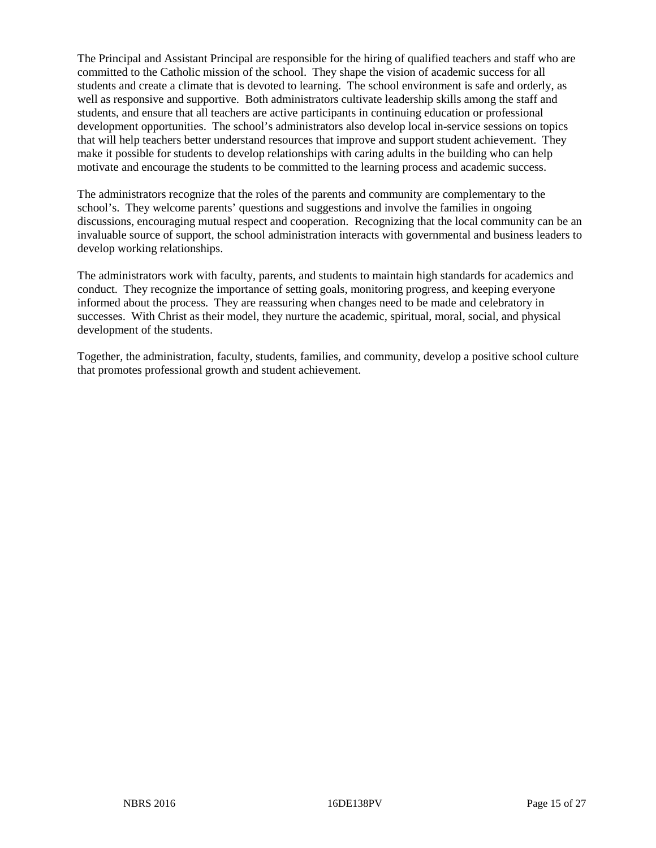The Principal and Assistant Principal are responsible for the hiring of qualified teachers and staff who are committed to the Catholic mission of the school. They shape the vision of academic success for all students and create a climate that is devoted to learning. The school environment is safe and orderly, as well as responsive and supportive. Both administrators cultivate leadership skills among the staff and students, and ensure that all teachers are active participants in continuing education or professional development opportunities. The school's administrators also develop local in-service sessions on topics that will help teachers better understand resources that improve and support student achievement. They make it possible for students to develop relationships with caring adults in the building who can help motivate and encourage the students to be committed to the learning process and academic success.

The administrators recognize that the roles of the parents and community are complementary to the school's. They welcome parents' questions and suggestions and involve the families in ongoing discussions, encouraging mutual respect and cooperation. Recognizing that the local community can be an invaluable source of support, the school administration interacts with governmental and business leaders to develop working relationships.

The administrators work with faculty, parents, and students to maintain high standards for academics and conduct. They recognize the importance of setting goals, monitoring progress, and keeping everyone informed about the process. They are reassuring when changes need to be made and celebratory in successes. With Christ as their model, they nurture the academic, spiritual, moral, social, and physical development of the students.

Together, the administration, faculty, students, families, and community, develop a positive school culture that promotes professional growth and student achievement.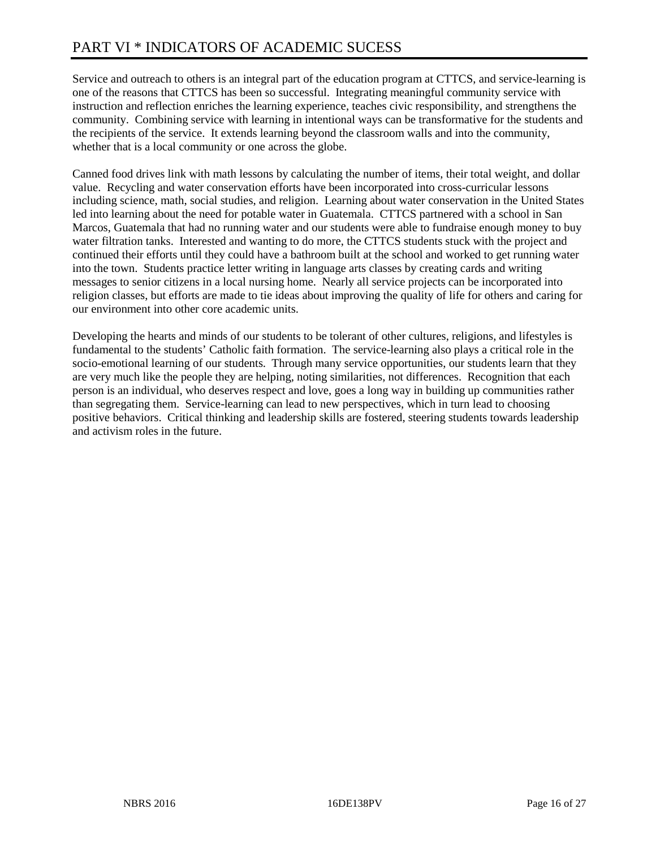# PART VI \* INDICATORS OF ACADEMIC SUCESS

Service and outreach to others is an integral part of the education program at CTTCS, and service-learning is one of the reasons that CTTCS has been so successful. Integrating meaningful community service with instruction and reflection enriches the learning experience, teaches civic responsibility, and strengthens the community. Combining service with learning in intentional ways can be transformative for the students and the recipients of the service. It extends learning beyond the classroom walls and into the community, whether that is a local community or one across the globe.

Canned food drives link with math lessons by calculating the number of items, their total weight, and dollar value. Recycling and water conservation efforts have been incorporated into cross-curricular lessons including science, math, social studies, and religion. Learning about water conservation in the United States led into learning about the need for potable water in Guatemala. CTTCS partnered with a school in San Marcos, Guatemala that had no running water and our students were able to fundraise enough money to buy water filtration tanks. Interested and wanting to do more, the CTTCS students stuck with the project and continued their efforts until they could have a bathroom built at the school and worked to get running water into the town. Students practice letter writing in language arts classes by creating cards and writing messages to senior citizens in a local nursing home. Nearly all service projects can be incorporated into religion classes, but efforts are made to tie ideas about improving the quality of life for others and caring for our environment into other core academic units.

Developing the hearts and minds of our students to be tolerant of other cultures, religions, and lifestyles is fundamental to the students' Catholic faith formation. The service-learning also plays a critical role in the socio-emotional learning of our students. Through many service opportunities, our students learn that they are very much like the people they are helping, noting similarities, not differences. Recognition that each person is an individual, who deserves respect and love, goes a long way in building up communities rather than segregating them. Service-learning can lead to new perspectives, which in turn lead to choosing positive behaviors. Critical thinking and leadership skills are fostered, steering students towards leadership and activism roles in the future.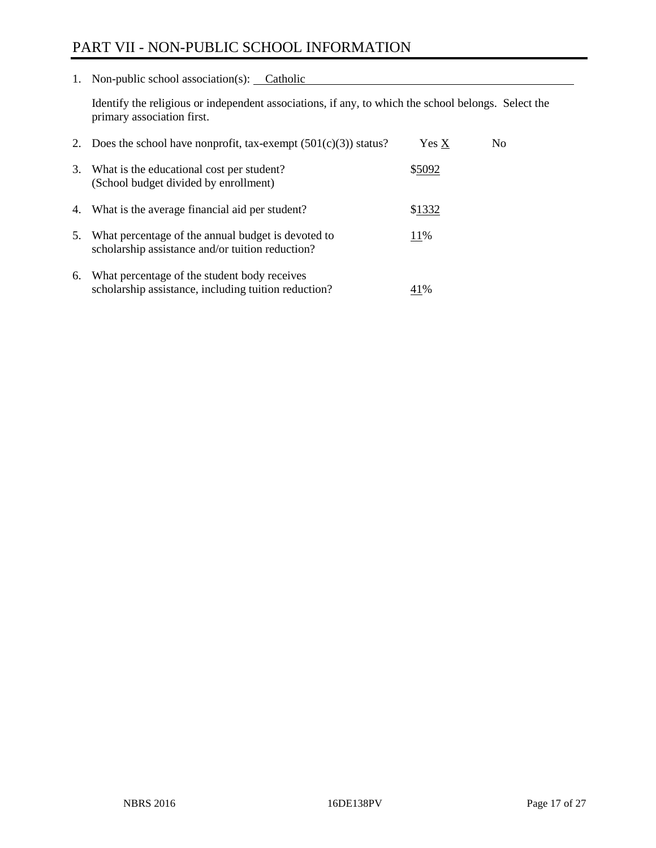# PART VII - NON-PUBLIC SCHOOL INFORMATION

1. Non-public school association(s): Catholic

Identify the religious or independent associations, if any, to which the school belongs. Select the primary association first.

| 2. | Does the school have nonprofit, tax-exempt $(501(c)(3))$ status?                                       | Yes X  | No. |
|----|--------------------------------------------------------------------------------------------------------|--------|-----|
| 3. | What is the educational cost per student?<br>(School budget divided by enrollment)                     | \$5092 |     |
| 4. | What is the average financial aid per student?                                                         | \$1332 |     |
| 5. | What percentage of the annual budget is devoted to<br>scholarship assistance and/or tuition reduction? | 11%    |     |
| 6. | What percentage of the student body receives<br>scholarship assistance, including tuition reduction?   | 41%    |     |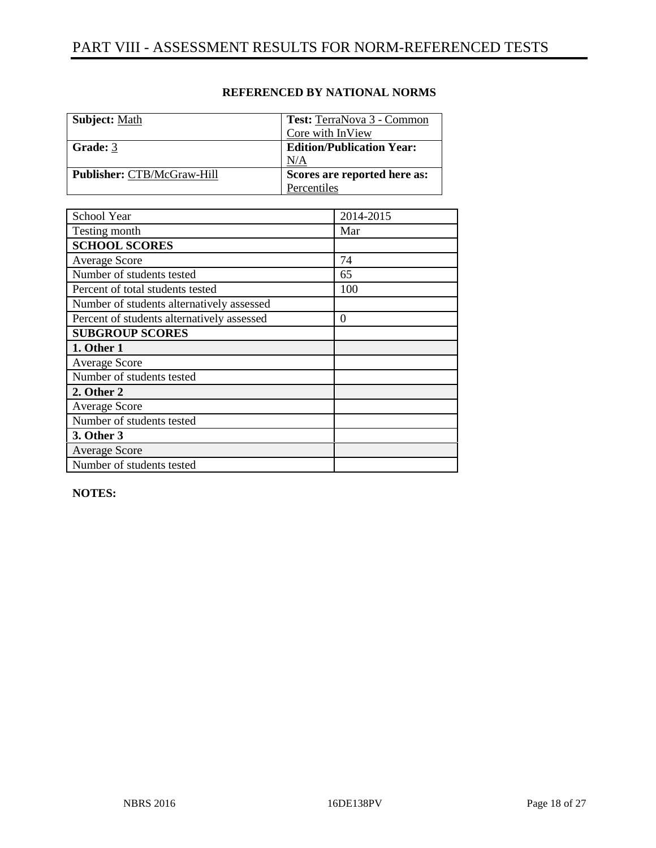| <b>Subject: Math</b>       | Test: TerraNova 3 - Common       |
|----------------------------|----------------------------------|
|                            | Core with InView                 |
| Grade: 3                   | <b>Edition/Publication Year:</b> |
|                            | N/A                              |
| Publisher: CTB/McGraw-Hill | Scores are reported here as:     |
|                            | Percentiles                      |

| School Year                                | 2014-2015 |
|--------------------------------------------|-----------|
| Testing month                              | Mar       |
| <b>SCHOOL SCORES</b>                       |           |
| <b>Average Score</b>                       | 74        |
| Number of students tested                  | 65        |
| Percent of total students tested           | 100       |
| Number of students alternatively assessed  |           |
| Percent of students alternatively assessed | 0         |
| <b>SUBGROUP SCORES</b>                     |           |
| 1. Other 1                                 |           |
| <b>Average Score</b>                       |           |
| Number of students tested                  |           |
| 2. Other 2                                 |           |
| <b>Average Score</b>                       |           |
| Number of students tested                  |           |
| 3. Other 3                                 |           |
| <b>Average Score</b>                       |           |
| Number of students tested                  |           |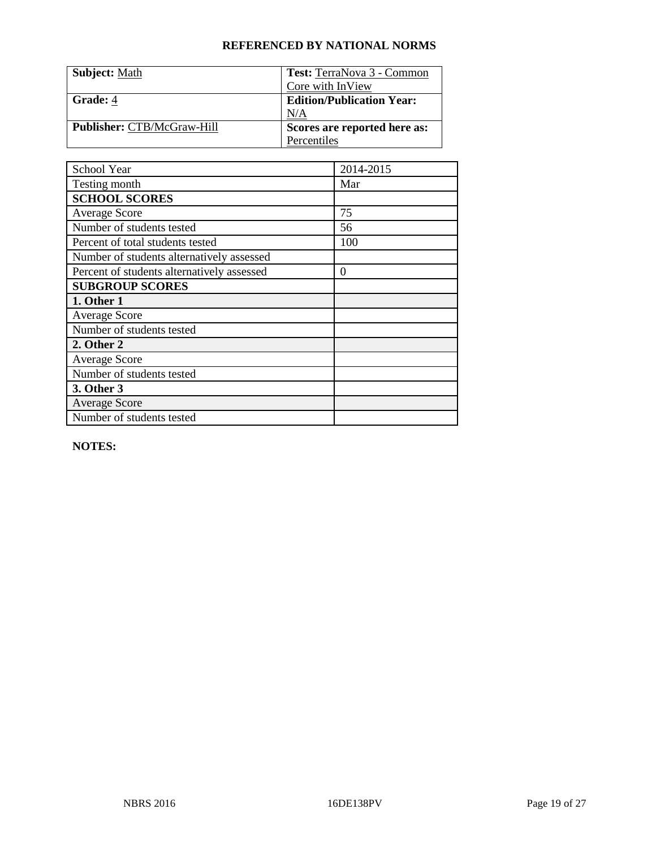| <b>Subject: Math</b>              | Test: TerraNova 3 - Common       |
|-----------------------------------|----------------------------------|
|                                   | Core with InView                 |
| <b>Grade: 4</b>                   | <b>Edition/Publication Year:</b> |
|                                   | N/A                              |
| <b>Publisher: CTB/McGraw-Hill</b> | Scores are reported here as:     |
|                                   | Percentiles                      |

| School Year                                | 2014-2015 |
|--------------------------------------------|-----------|
| Testing month                              | Mar       |
| <b>SCHOOL SCORES</b>                       |           |
| Average Score                              | 75        |
| Number of students tested                  | 56        |
| Percent of total students tested           | 100       |
| Number of students alternatively assessed  |           |
| Percent of students alternatively assessed | $\theta$  |
| <b>SUBGROUP SCORES</b>                     |           |
| 1. Other 1                                 |           |
| <b>Average Score</b>                       |           |
| Number of students tested                  |           |
| 2. Other 2                                 |           |
| Average Score                              |           |
| Number of students tested                  |           |
| 3. Other 3                                 |           |
| <b>Average Score</b>                       |           |
| Number of students tested                  |           |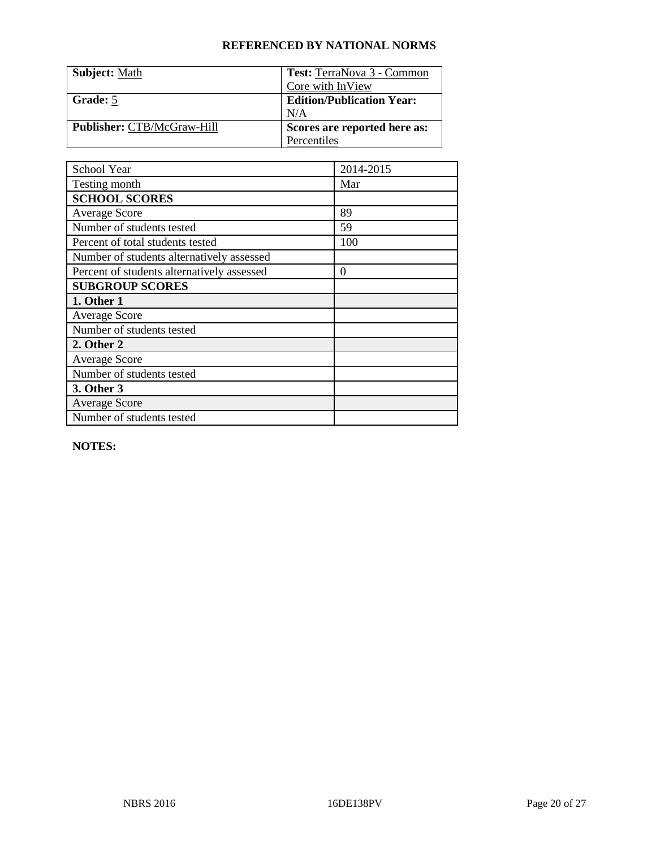| <b>Subject: Math</b>              | Test: TerraNova 3 - Common       |
|-----------------------------------|----------------------------------|
|                                   | Core with InView                 |
| Grade: 5                          | <b>Edition/Publication Year:</b> |
|                                   | N/A                              |
| <b>Publisher: CTB/McGraw-Hill</b> | Scores are reported here as:     |
|                                   | Percentiles                      |

| School Year                                | 2014-2015 |
|--------------------------------------------|-----------|
| Testing month                              | Mar       |
| <b>SCHOOL SCORES</b>                       |           |
| Average Score                              | 89        |
| Number of students tested                  | 59        |
| Percent of total students tested           | 100       |
| Number of students alternatively assessed  |           |
| Percent of students alternatively assessed | $\theta$  |
| <b>SUBGROUP SCORES</b>                     |           |
| 1. Other 1                                 |           |
| <b>Average Score</b>                       |           |
| Number of students tested                  |           |
| 2. Other 2                                 |           |
| Average Score                              |           |
| Number of students tested                  |           |
| 3. Other 3                                 |           |
| <b>Average Score</b>                       |           |
| Number of students tested                  |           |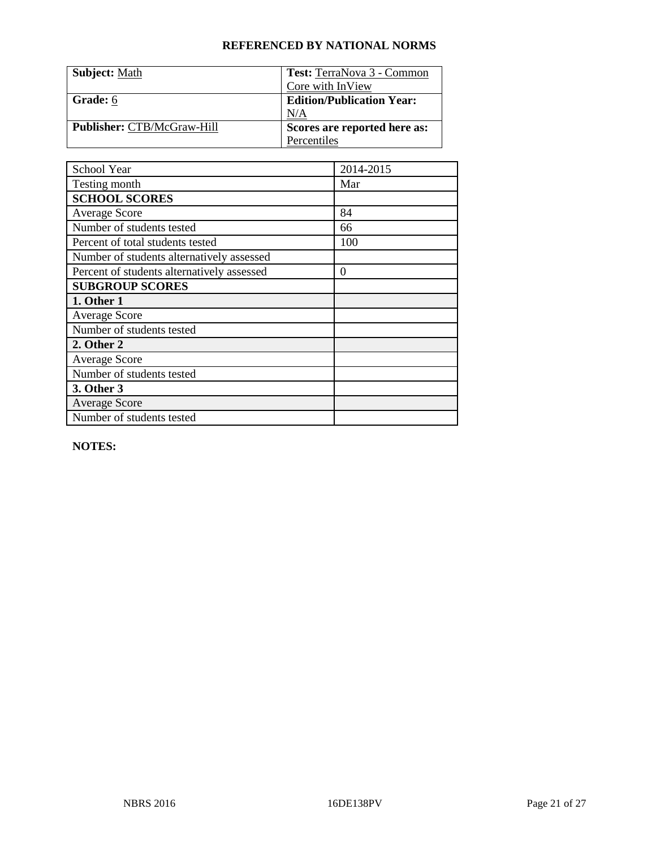| <b>Subject: Math</b>              | Test: TerraNova 3 - Common       |
|-----------------------------------|----------------------------------|
|                                   | Core with InView                 |
| Grade: 6                          | <b>Edition/Publication Year:</b> |
|                                   | N/A                              |
| <b>Publisher: CTB/McGraw-Hill</b> | Scores are reported here as:     |
|                                   | Percentiles                      |

| School Year                                | 2014-2015 |
|--------------------------------------------|-----------|
| Testing month                              | Mar       |
| <b>SCHOOL SCORES</b>                       |           |
| <b>Average Score</b>                       | 84        |
| Number of students tested                  | 66        |
| Percent of total students tested           | 100       |
| Number of students alternatively assessed  |           |
| Percent of students alternatively assessed | $\theta$  |
| <b>SUBGROUP SCORES</b>                     |           |
| 1. Other 1                                 |           |
| <b>Average Score</b>                       |           |
| Number of students tested                  |           |
| 2. Other 2                                 |           |
| <b>Average Score</b>                       |           |
| Number of students tested                  |           |
| 3. Other 3                                 |           |
| <b>Average Score</b>                       |           |
| Number of students tested                  |           |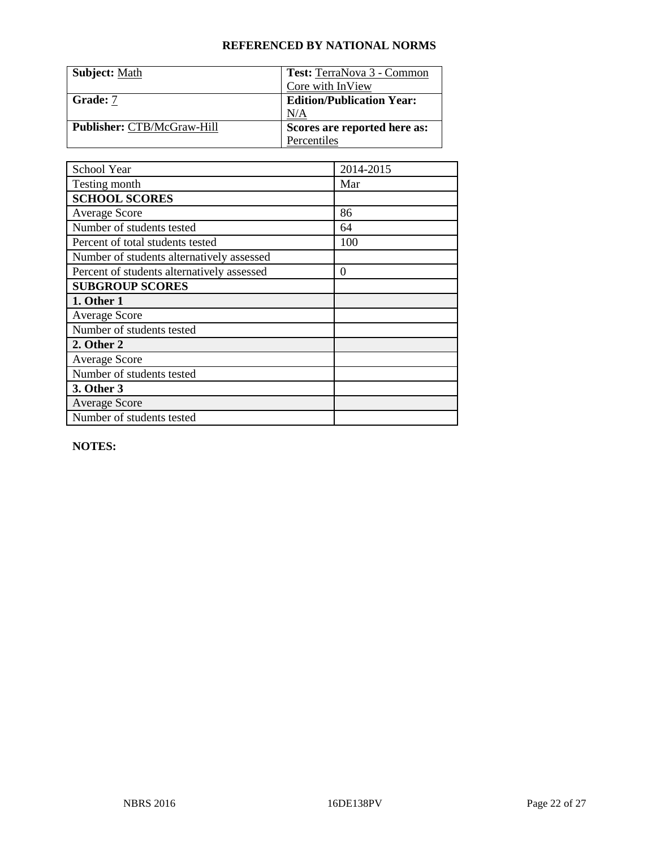| <b>Subject: Math</b>              | Test: TerraNova 3 - Common       |
|-----------------------------------|----------------------------------|
|                                   | Core with InView                 |
| Grade: 7                          | <b>Edition/Publication Year:</b> |
|                                   | N/A                              |
| <b>Publisher: CTB/McGraw-Hill</b> | Scores are reported here as:     |
|                                   | Percentiles                      |

| School Year                                | 2014-2015 |
|--------------------------------------------|-----------|
| Testing month                              | Mar       |
| <b>SCHOOL SCORES</b>                       |           |
| Average Score                              | 86        |
| Number of students tested                  | 64        |
| Percent of total students tested           | 100       |
| Number of students alternatively assessed  |           |
| Percent of students alternatively assessed | $\theta$  |
| <b>SUBGROUP SCORES</b>                     |           |
| 1. Other 1                                 |           |
| <b>Average Score</b>                       |           |
| Number of students tested                  |           |
| 2. Other 2                                 |           |
| <b>Average Score</b>                       |           |
| Number of students tested                  |           |
| 3. Other 3                                 |           |
| <b>Average Score</b>                       |           |
| Number of students tested                  |           |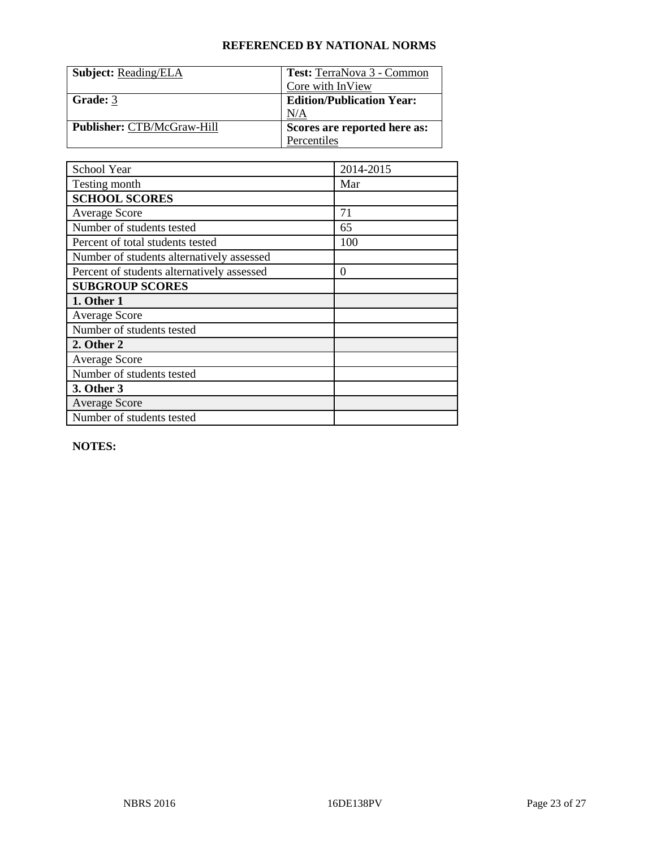| <b>Subject: Reading/ELA</b>       | Test: TerraNova 3 - Common       |
|-----------------------------------|----------------------------------|
|                                   | Core with InView                 |
| Grade: 3                          | <b>Edition/Publication Year:</b> |
|                                   | N/A                              |
| <b>Publisher: CTB/McGraw-Hill</b> | Scores are reported here as:     |
|                                   | Percentiles                      |

| School Year                                | 2014-2015 |
|--------------------------------------------|-----------|
| Testing month                              | Mar       |
| <b>SCHOOL SCORES</b>                       |           |
| Average Score                              | 71        |
| Number of students tested                  | 65        |
| Percent of total students tested           | 100       |
| Number of students alternatively assessed  |           |
| Percent of students alternatively assessed | $\theta$  |
| <b>SUBGROUP SCORES</b>                     |           |
| 1. Other 1                                 |           |
| <b>Average Score</b>                       |           |
| Number of students tested                  |           |
| 2. Other 2                                 |           |
| Average Score                              |           |
| Number of students tested                  |           |
| 3. Other 3                                 |           |
| <b>Average Score</b>                       |           |
| Number of students tested                  |           |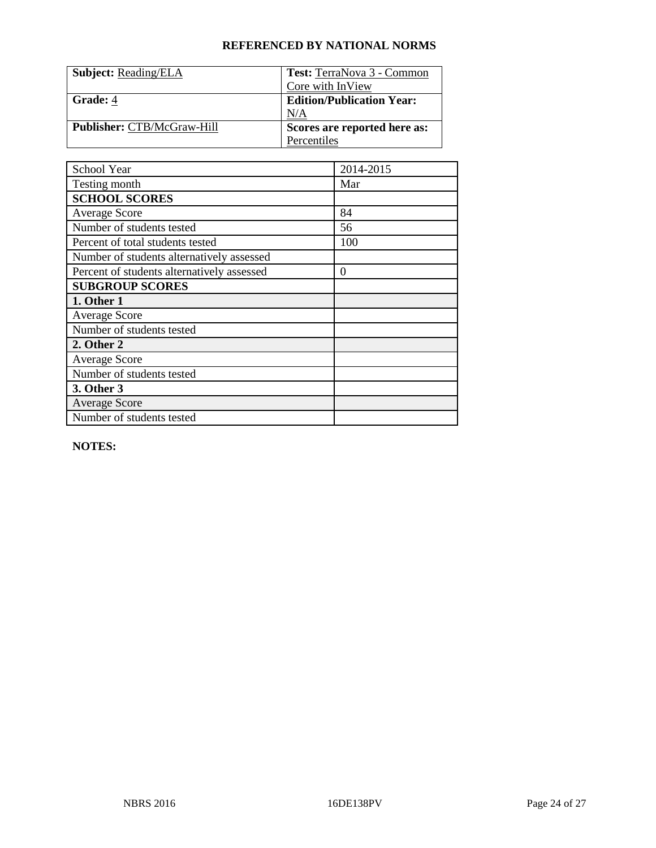| <b>Subject: Reading/ELA</b>       | Test: TerraNova 3 - Common       |
|-----------------------------------|----------------------------------|
|                                   | Core with InView                 |
| Grade: 4                          | <b>Edition/Publication Year:</b> |
|                                   | N/A                              |
| <b>Publisher: CTB/McGraw-Hill</b> | Scores are reported here as:     |
|                                   | Percentiles                      |

| School Year                                | 2014-2015 |
|--------------------------------------------|-----------|
| Testing month                              | Mar       |
| <b>SCHOOL SCORES</b>                       |           |
| <b>Average Score</b>                       | 84        |
| Number of students tested                  | 56        |
| Percent of total students tested           | 100       |
| Number of students alternatively assessed  |           |
| Percent of students alternatively assessed | $\theta$  |
| <b>SUBGROUP SCORES</b>                     |           |
| 1. Other 1                                 |           |
| <b>Average Score</b>                       |           |
| Number of students tested                  |           |
| 2. Other 2                                 |           |
| <b>Average Score</b>                       |           |
| Number of students tested                  |           |
| 3. Other 3                                 |           |
| <b>Average Score</b>                       |           |
| Number of students tested                  |           |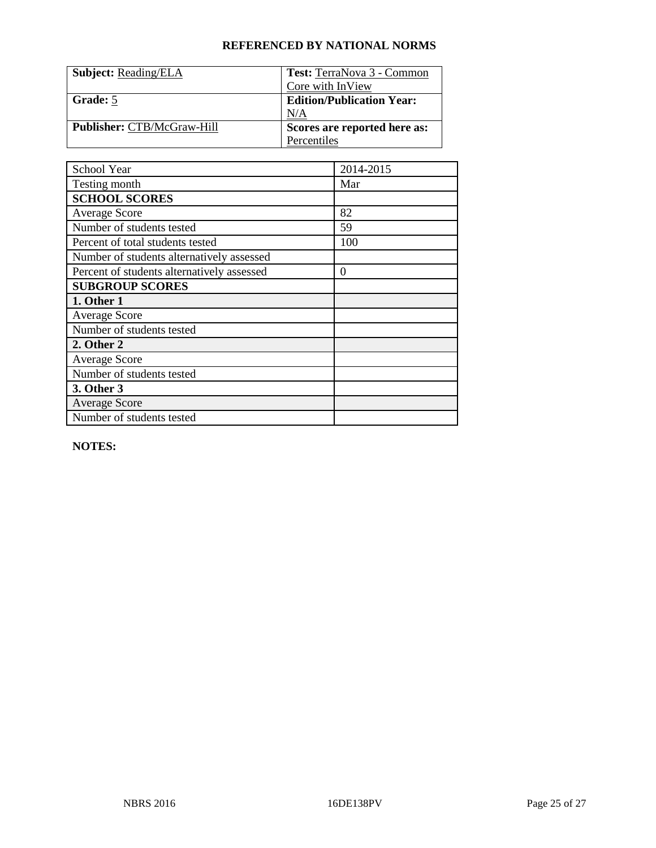| <b>Subject: Reading/ELA</b>       | Test: TerraNova 3 - Common       |
|-----------------------------------|----------------------------------|
|                                   | Core with InView                 |
| Grade: 5                          | <b>Edition/Publication Year:</b> |
|                                   | N/A                              |
| <b>Publisher: CTB/McGraw-Hill</b> | Scores are reported here as:     |
|                                   | Percentiles                      |

| School Year                                | 2014-2015 |
|--------------------------------------------|-----------|
| Testing month                              | Mar       |
| <b>SCHOOL SCORES</b>                       |           |
| <b>Average Score</b>                       | 82        |
| Number of students tested                  | 59        |
| Percent of total students tested           | 100       |
| Number of students alternatively assessed  |           |
| Percent of students alternatively assessed | $\theta$  |
| <b>SUBGROUP SCORES</b>                     |           |
| 1. Other 1                                 |           |
| <b>Average Score</b>                       |           |
| Number of students tested                  |           |
| 2. Other 2                                 |           |
| <b>Average Score</b>                       |           |
| Number of students tested                  |           |
| 3. Other 3                                 |           |
| <b>Average Score</b>                       |           |
| Number of students tested                  |           |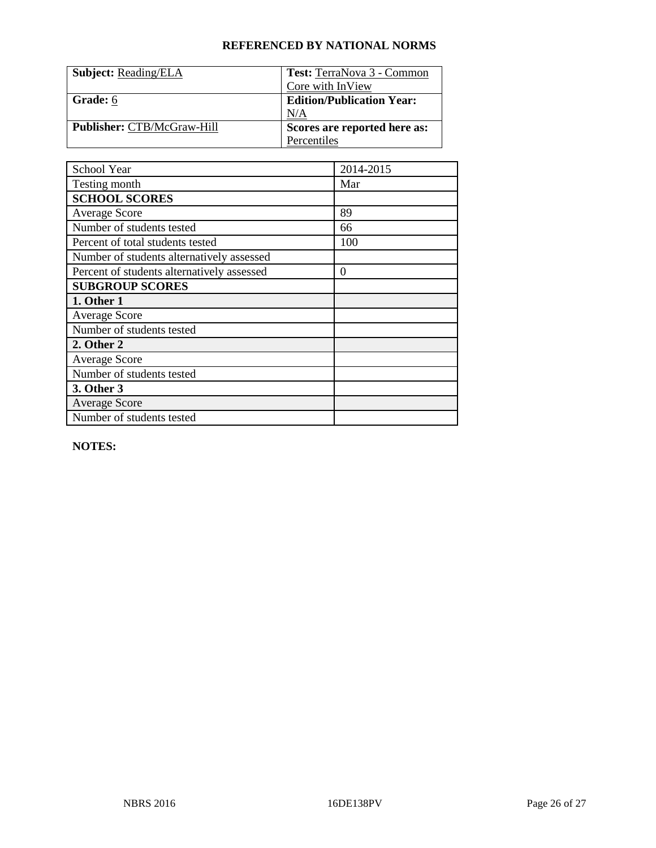| <b>Subject: Reading/ELA</b>       | Test: TerraNova 3 - Common       |
|-----------------------------------|----------------------------------|
|                                   | Core with InView                 |
| Grade: 6                          | <b>Edition/Publication Year:</b> |
|                                   | N/A                              |
| <b>Publisher: CTB/McGraw-Hill</b> | Scores are reported here as:     |
|                                   | Percentiles                      |

| School Year                                | 2014-2015 |
|--------------------------------------------|-----------|
| Testing month                              | Mar       |
| <b>SCHOOL SCORES</b>                       |           |
| Average Score                              | 89        |
| Number of students tested                  | 66        |
| Percent of total students tested           | 100       |
| Number of students alternatively assessed  |           |
| Percent of students alternatively assessed | $\theta$  |
| <b>SUBGROUP SCORES</b>                     |           |
| 1. Other 1                                 |           |
| <b>Average Score</b>                       |           |
| Number of students tested                  |           |
| 2. Other 2                                 |           |
| <b>Average Score</b>                       |           |
| Number of students tested                  |           |
| 3. Other 3                                 |           |
| <b>Average Score</b>                       |           |
| Number of students tested                  |           |